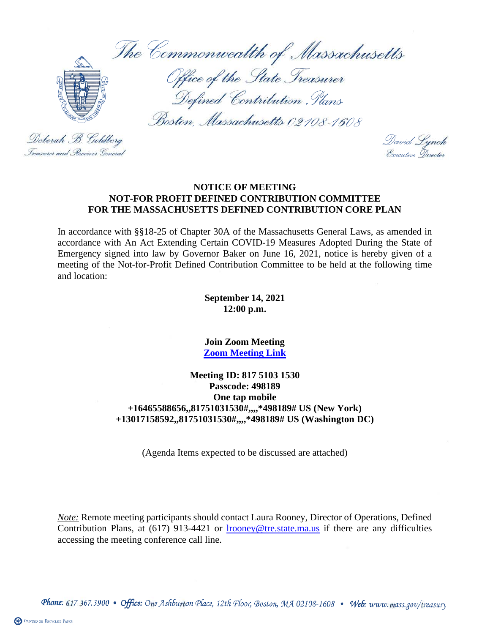The Commonwealth of Massachusetts Office of the State Treasurer Defined Contribution Plans Boston, Massachusetts 02108-1608 Deborah B. Goldberg

David Lynch<br>Executive Director

# **NOTICE OF MEETING NOT-FOR PROFIT DEFINED CONTRIBUTION COMMITTEE FOR THE MASSACHUSETTS DEFINED CONTRIBUTION CORE PLAN**

In accordance with §§18-25 of Chapter 30A of the Massachusetts General Laws, as amended in accordance with An Act Extending Certain COVID-19 Measures Adopted During the State of Emergency signed into law by Governor Baker on June 16, 2021, notice is hereby given of a meeting of the Not-for-Profit Defined Contribution Committee to be held at the following time and location:

#### **September 14, 2021 12:00 p.m.**

#### **Join Zoom Meeting [Zoom Meeting Link](https://us06web.zoom.us/j/81751031530?pwd=aWlTVWlRKzhPQ1BENXdLYjREdVFpUT09)**

# **Meeting ID: 817 5103 1530 Passcode: 498189 One tap mobile +16465588656,,81751031530#,,,,\*498189# US (New York) +13017158592,,81751031530#,,,,\*498189# US (Washington DC)**

(Agenda Items expected to be discussed are attached)

*Note:* Remote meeting participants should contact Laura Rooney, Director of Operations, Defined Contribution Plans, at (617) 913-4421 or [lrooney@tre.state.ma.us](mailto:lrooney@tre.state.ma.us) if there are any difficulties accessing the meeting conference call line.

Phone: 617.367.3900 • Office: One Ashburton Place, 12th Floor, Boston, MA 02108-1608 • Web: www.mass.gov/treasury

Treasurer and Receiver General